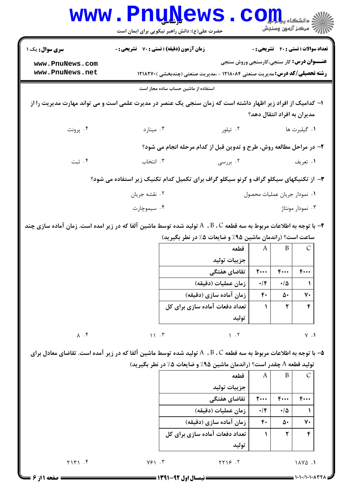|                                    | www.PnuNews.<br>حضرت علی(ع): دانش راهبر نیکویی برای ایمان است                                                              |                                                                                                                                              |                          |                  | في دانشڪاه <b>يہايا COII</b><br>\  // " مرڪز آزمون وسنڊش |  |
|------------------------------------|----------------------------------------------------------------------------------------------------------------------------|----------------------------------------------------------------------------------------------------------------------------------------------|--------------------------|------------------|----------------------------------------------------------|--|
| <b>سری سوال:</b> یک ۱              | <b>زمان آزمون (دقیقه) : تستی : 70 قشریحی : 0</b>                                                                           |                                                                                                                                              |                          |                  | <b>تعداد سوالات : تستی : 40 قشریحی : 0</b>               |  |
| www.PnuNews.com<br>www.PnuNews.net |                                                                                                                            | <b>عنـــوان درس:</b> کار سنجی،کارسنجی وروش سنجی<br><b>رشته تحصیلی/کد درس:</b> مدیریت صنعتی ۱۲۱۸۰۸۴ - ،مدیریت صنعتی (چندبخشی ) <b>۱۲۱۸۲۷۰</b> |                          |                  |                                                          |  |
|                                    | استفاده از ماشین حساب ساده مجاز است                                                                                        |                                                                                                                                              |                          |                  |                                                          |  |
|                                    | ا– کدامیک از افراد زیر اظهار داشته است که زمان سنجی یک عنصر در مدیرت علمی است و می تواند مهارت مدیریت را از                |                                                                                                                                              |                          |                  | مدیران به افراد انتقال دهد؟                              |  |
| ۰۴ پرونت                           | ۰۳ مینارد                                                                                                                  | ۰۲ تیلور                                                                                                                                     |                          |                  | ۰۱ گیلبرت ها                                             |  |
|                                    | ۲- در مراحل مطالعه روش، طرح و تدوین قبل از کدام مرحله انجام می شود؟                                                        |                                                                                                                                              |                          |                  |                                                          |  |
| ۰۴ ثبت                             | ۰۳ انتخاب                                                                                                                  | ۰۲ بررسی                                                                                                                                     |                          |                  | ۰۱ تعریف                                                 |  |
|                                    | ۳- از تکنیکهای سیکلو گراف و کرنو سیکلو گراف برای تکمیل کدام تکنیک زیر استفاده می شود؟                                      |                                                                                                                                              |                          |                  |                                                          |  |
|                                    | ۰۲ نقشه جريان                                                                                                              |                                                                                                                                              |                          |                  | ٠١ نمودار جريان عمليات محصول                             |  |
|                                    | ۰۴ سیموچارت                                                                                                                |                                                                                                                                              |                          | ۰۳ نمودار مونتاژ |                                                          |  |
|                                    | با توجه به اطلاعات مربوط به سه قطعه A  ، B ، C تولید شده توسط ماشین آلفا که در زیر امده است. زمان آماده سازی چند $\bullet$ | ساعت است؟ (راندمان ماشین ۹۵٪ و ضایعات ۰٪ در نطر بگیرید)<br>قطعه<br>جزييات توليد<br>تقاضای هفتگی                                              | A<br>$\mathbf{r} \cdots$ | B<br>$F \cdots$  | $F \cdots$                                               |  |
|                                    |                                                                                                                            | زمان عمليات (دقيقه)                                                                                                                          | $\cdot/\mathfrak{f}$     | $\cdot/\Delta$   | 1                                                        |  |
|                                    |                                                                                                                            | زمان آماده سازی (دقیقه)                                                                                                                      | ۴٠                       | ۵۰               | ٧٠                                                       |  |
|                                    |                                                                                                                            | تعداد دفعات آماده سازی برای کل                                                                                                               | $\mathbf{A}$             | ٢                | ۴                                                        |  |
| $\Lambda$ . $\mathfrak{f}$         | 11.7                                                                                                                       | توليد<br>1.7                                                                                                                                 |                          |                  | $V \cdot V$                                              |  |
|                                    | ۵− با توجه به اطلاعات مربوط به سه قطعه A  ، B ، C تولید شده توسط ماشین آلفا که در زیر آمده است. تقاضای معادل برای          | تولید قطعه A چقدر است؟ (راندمان ماشین ۹۵٪ و ضایعات ۵٪ در نطر بگیرید)                                                                         |                          |                  |                                                          |  |
|                                    |                                                                                                                            | قطعه                                                                                                                                         | A                        | $\mathbf{B}$     | $\mathcal{C}$                                            |  |
|                                    |                                                                                                                            | جزييات توليد                                                                                                                                 |                          |                  |                                                          |  |
|                                    |                                                                                                                            | تقاضای هفتگی                                                                                                                                 | $\mathsf{r}\cdots$       | $F \cdots$       | ۴۰۰۰                                                     |  |
|                                    |                                                                                                                            | زمان عمليات (دقيقه)                                                                                                                          | $\cdot$ /۴               | $\cdot/\Delta$   | 1                                                        |  |
|                                    |                                                                                                                            | زمان آماده سازی (دقیقه)<br>تعداد دفعات آماده سازی برای کل                                                                                    | ۴٠<br>$\mathbf{A}$       | ۵۰<br>۲          | ٧٠<br>۴                                                  |  |
|                                    |                                                                                                                            | توليد                                                                                                                                        |                          |                  |                                                          |  |

01a1(%(/%(%(% نيمسال اول 1391-92 صفحه 1 از 6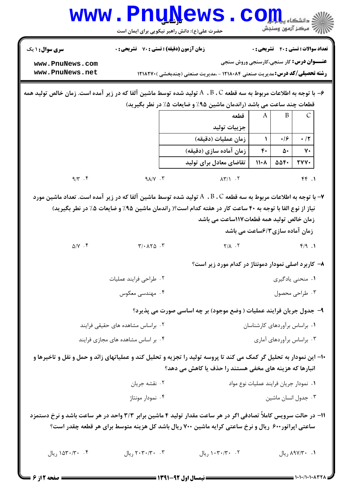|                                                                                                                         | <b>www.PnuNews</b><br>حضرت علی(ع): دانش راهبر نیکویی برای ایمان است                               |                                                                                    |                                                                          |                |      | أأأ مركز آزمون وسنجش                         |  |
|-------------------------------------------------------------------------------------------------------------------------|---------------------------------------------------------------------------------------------------|------------------------------------------------------------------------------------|--------------------------------------------------------------------------|----------------|------|----------------------------------------------|--|
| <b>سری سوال :</b> ۱ یک                                                                                                  | <b>زمان آزمون (دقیقه) : تستی : 70 ٪ تشریحی : 0</b>                                                |                                                                                    |                                                                          |                |      | <b>تعداد سوالات : تستی : 40 - تشریحی : 0</b> |  |
| www.PnuNews.com<br>www.PnuNews.net                                                                                      |                                                                                                   | <b>رشته تحصیلی/کد درس:</b> مدیریت صنعتی ۱۲۱۸۰۸۴ - ،مدیریت صنعتی (چندبخشی )۲۱۸۲۷۰ ۱ | <b>عنـــوان درس:</b> کار سنجي،کارسنجي وروش سنجي                          |                |      |                                              |  |
| با توجه به اطلاعات مربوط به سه قطعه A  ، B ، C توليد شده توسط ماشين آلفا كه در زير آمده است. زمان خالص توليد همه $\div$ |                                                                                                   |                                                                                    |                                                                          |                |      |                                              |  |
|                                                                                                                         |                                                                                                   | قطعات چند ساعت می باشد (راندمان ماشین ۹۵٪ و ضایعات ۰٪ در نطر بگیرید)               |                                                                          |                |      |                                              |  |
|                                                                                                                         |                                                                                                   |                                                                                    | قطعه                                                                     | A              | B    | $\mathcal{C}$                                |  |
|                                                                                                                         |                                                                                                   |                                                                                    | جزييات توليد                                                             |                |      |                                              |  |
|                                                                                                                         |                                                                                                   |                                                                                    | زمان عمليات (دقيقه)                                                      | ١              | ۰/۶  | $\cdot$ /۲                                   |  |
|                                                                                                                         |                                                                                                   |                                                                                    | زمان آماده سازی (دقیقه)                                                  | ۴٠             | ۵۰   | ٧٠                                           |  |
|                                                                                                                         |                                                                                                   |                                                                                    | تقاضای معادل برای تولید                                                  | $11 - A$       | 554. | <b>TYY.</b>                                  |  |
| $9/\gamma$ . ۴                                                                                                          | $9\lambda/V \cdot V$                                                                              |                                                                                    | $\lambda \Upsilon / \lambda$ . Y                                         |                |      | $f \uparrow$ .1                              |  |
| $\Delta/Y$ . ۴                                                                                                          | $T/\cdot \lambda Y \Delta \cdot Y$                                                                |                                                                                    | $Y/\lambda$ . $Y$<br>۸– کاربرد اصلی نمودار دمونتاژ در کدام مورد زیر است؟ |                |      | f/9.1                                        |  |
|                                                                                                                         | ۰۲ طراحي فرايند عمليات                                                                            | ۰۱ منحنی یادگیری                                                                   |                                                                          |                |      |                                              |  |
| ۰۴ مهندسی معکوس                                                                                                         |                                                                                                   |                                                                                    |                                                                          | ۰۳ طراحی محصول |      |                                              |  |
|                                                                                                                         |                                                                                                   | ۹- جدول جریان فرایند عملیات ( وضع موجود) بر چه اساسی صورت می پذیرد؟                |                                                                          |                |      |                                              |  |
|                                                                                                                         | ۰۲ براساس مشاهده های حقیقی فرایند                                                                 |                                                                                    | ٠١. براساس برآوردهای كارشناسان                                           |                |      |                                              |  |
| ۰۳ براساس برأوردهای أماری<br>۰۴ بر اساس مشاهده های مجازی فرایند                                                         |                                                                                                   |                                                                                    |                                                                          |                |      |                                              |  |
| ۱۰– این نمودار به تحلیل گر کمک می کند تا پروسه تولید را تجزیه و تحلیل کند و عملیاتهای زائد و حمل و نقل و تاخیرها و      |                                                                                                   | انبارها که هزینه های مخفی هستند را حذف یا کاهش می دهد؟                             |                                                                          |                |      |                                              |  |
|                                                                                                                         | ۰۲ نقشه جریان                                                                                     |                                                                                    |                                                                          |                |      | ٠١ نمودار جريان فرايند عمليات نوع مواد       |  |
|                                                                                                                         | ۰۴ نمودار مونتاژ                                                                                  |                                                                                    |                                                                          |                |      | ۰۳ جدول انسان ماشين                          |  |
| ۱۱– در حالت سرویس کاملاً تصادفی اگر در هر ساعت مقدار تولید ۴ ماشین برابر ۳/۳ واحد در هر ساعت باشد و نرخ دستمزد          | ساعتی اپراتور۶۰۰ ریال و نرخ ساعتی کرایه ماشین ۷۰۰ ریال باشد کل هزینه متوسط برای هر قطعه چقدر است؟ |                                                                                    |                                                                          |                |      |                                              |  |
| ۰۴ ۱۵۳۰/۳۰ ریال                                                                                                         | ٢٠- ٢٠٣٠/٣٠ ريال                                                                                  |                                                                                    | ۰۲ ۰۳۰/۳۰ ریال                                                           |                |      | ٠١ ٢٠ ٨٩٧/٣٠ ريال                            |  |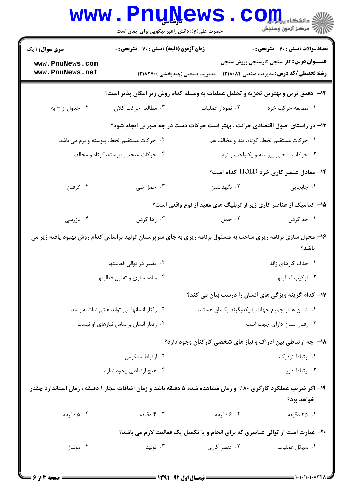|                                                                                                                              | <b>www.PnuNews</b><br>حضرت علی(ع): دانش راهبر نیکویی برای ایمان است                 |                                                                                    | ري دانشڪاه پي <mark>ا ۽ اور</mark><br>ا∛ مرڪز آزمون وسنڊش |  |  |  |
|------------------------------------------------------------------------------------------------------------------------------|-------------------------------------------------------------------------------------|------------------------------------------------------------------------------------|-----------------------------------------------------------|--|--|--|
| <b>سری سوال : ۱ یک</b>                                                                                                       | زمان آزمون (دقیقه) : تستی : 70 گشریحی : 0                                           |                                                                                    | <b>تعداد سوالات : تستي : 40 - تشريحي : 0</b>              |  |  |  |
| www.PnuNews.com<br>www.PnuNews.net                                                                                           |                                                                                     | <b>رشته تحصیلی/کد درس:</b> مدیریت صنعتی ۱۲۱۸۰۸۴ - ،مدیریت صنعتی (چندبخشی ) ۱۲۱۸۲۷۰ | <b>عنـــوان درس:</b> کار سنجی،کارسنجی وروش سنجی           |  |  |  |
|                                                                                                                              | ۱۲-   دقیق ترین و بهترین تجزیه و تحلیل عملیات به وسیله کدام روش زیر امکان پذیر است؟ |                                                                                    |                                                           |  |  |  |
| ۰۴ جدول از – به                                                                                                              | ۰۳ مطالعه حرکت کلان                                                                 | ۰۲ نمودار عملیات                                                                   | ٠١. مطالعه حركت خرد                                       |  |  |  |
|                                                                                                                              |                                                                                     | ۱۳- در راستای اصول اقتصادی حرکت ، بهتر است حرکات دست در چه صورتی انجام شود؟        |                                                           |  |  |  |
|                                                                                                                              | ۲. حرکات مستقیم الخط، پیوسته و نرم می باشد                                          |                                                                                    | ٠١ حركات مستقيم الخط، كوتاه، تند و مخالف هم               |  |  |  |
|                                                                                                                              | ۰۴ حرکات منحنی پیوسته، کوتاه و مخالف                                                |                                                                                    | ۰۳ حرکات منحنی پیوسته و یکنواخت و نرم                     |  |  |  |
|                                                                                                                              |                                                                                     |                                                                                    | ۰۱۴ معادل عنصر کاری خرد HOLD کدام است؟                    |  |  |  |
| ۰۴ گرفتن                                                                                                                     | ۰۳ حمل شی                                                                           | ۰۲ نگهداشتن                                                                        | <b>۱.</b> جابجایی                                         |  |  |  |
|                                                                                                                              |                                                                                     | ۱۵– کدامیک از عناصر کاری زیر از تربلیگ های مفید از نوع واقعی است؟                  |                                                           |  |  |  |
| ۰۴ بازرسی                                                                                                                    | ۰۳ رها کردن                                                                         | ۰۲ حمل                                                                             | ۰۱ جداکردن                                                |  |  |  |
| ۱۶- محول سازی برنامه ریزی ساخت به مسئول برنامه ریزی به جای سرپرستان تولید براساس کدام روش بهبود یافته زیر می<br>باشد؟        |                                                                                     |                                                                                    |                                                           |  |  |  |
|                                                                                                                              | ۰۲ تغییر در توالی فعالیتها                                                          |                                                                                    | ۰۱ حذف کارهای زائد                                        |  |  |  |
|                                                                                                                              | ۰۴ ساده سازی و تقلیل فعالیتها                                                       |                                                                                    | ٠٣ تركيب فعاليتها                                         |  |  |  |
|                                                                                                                              |                                                                                     | ۱۷– کدام گزینه ویژگی های انسان را درست بیان می کند؟                                |                                                           |  |  |  |
|                                                                                                                              | ٠٢ رفتار انسانها مى تواند علتى نداشته باشد                                          | ٠١ انسان ها از جميع جهات با يكديگرند يكسان هستند                                   |                                                           |  |  |  |
|                                                                                                                              | ۰۴ رفتار انسان براساس نیازهای او نیست                                               |                                                                                    | ۰۳ رفتار انسان دارای جهت است                              |  |  |  |
|                                                                                                                              |                                                                                     | <b>۱۸</b> - چه ارتباطی بین ادراک و نیاز های شخصی کارکنان وجود دارد؟                |                                                           |  |  |  |
|                                                                                                                              | ۰۲ ارتباط معکوس                                                                     |                                                                                    | ۰۱ ارتباط نزدیک                                           |  |  |  |
|                                                                                                                              | ۰۴ هيچ ارتباطي وجود ندارد                                                           |                                                                                    | ۰۳ ارتباط دور                                             |  |  |  |
| ۱۹- اگر ضریب عملکرد کارگری ۸۰٪ و زمان مشاهده شده ۵ دقیقه باشد و زمان اضافات مجاز ۱ دقیقه ، زمان استاندارد چقدر<br>خواهد بود؟ |                                                                                     |                                                                                    |                                                           |  |  |  |
| ۰۴ دقیقه                                                                                                                     | ۰۳ دقیقه                                                                            | ۰۲ ۶ دقیقه                                                                         | ۰۱ ۳۵ دقیقه                                               |  |  |  |
| <b>۲۰</b> - عبارت است از توالی عناصری که برای انجام و یا تکمیل یک فعالیت لازم می باشد؟                                       |                                                                                     |                                                                                    |                                                           |  |  |  |
| ۰۴ مونتاژ                                                                                                                    | ۰۳ تولید                                                                            | ۰۲ عنصر کاری                                                                       | ۰۱ سیکل عملیات                                            |  |  |  |
|                                                                                                                              |                                                                                     |                                                                                    |                                                           |  |  |  |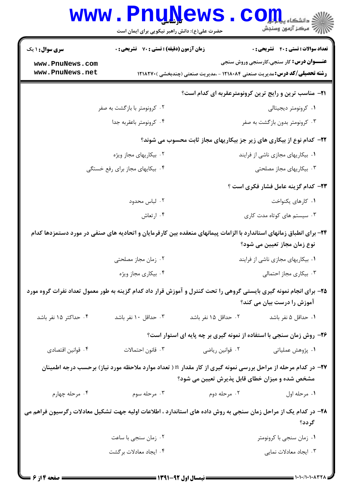|                                    | <b>www.Pnunews</b><br>حضرت علی(ع): دانش راهبر نیکویی برای ایمان است                                                   |                                   | $\text{C}\text{O}\prod_{\text{sp}}$ دانشکاه پیام<br>رآب مرڪز آزمون وسنڊش                                                              |  |
|------------------------------------|-----------------------------------------------------------------------------------------------------------------------|-----------------------------------|---------------------------------------------------------------------------------------------------------------------------------------|--|
| <b>سری سوال : ۱ یک</b>             | زمان آزمون (دقیقه) : تستی : 70 ٪ تشریحی : 0                                                                           |                                   | <b>تعداد سوالات : تستی : 40 قشریحی : 0</b>                                                                                            |  |
| www.PnuNews.com<br>www.PnuNews.net |                                                                                                                       |                                   | <b>عنـــوان درس:</b> کار سنجی،کارسنجی وروش سنجی<br><b>رشته تحصیلی/کد درس:</b> مدیریت صنعتی ۱۲۱۸۰۸۴ - ،مدیریت صنعتی (چندبخشی ) ۱۲۱۸۲۷۰ |  |
|                                    |                                                                                                                       |                                   | <b>۲۱</b> - مناسب ترین و رایج ترین کرونومترعقربه ای کدام است؟                                                                         |  |
|                                    | ۰۲ کرونومتر با بازگشت به صفر                                                                                          |                                   | ۰۱ کرونومتر دیجیتالی                                                                                                                  |  |
|                                    | ۰۴ کرونومتر باعقربه جدا                                                                                               |                                   | ۰۳ کرونومتر بدون بازگشت به صفر                                                                                                        |  |
|                                    |                                                                                                                       |                                   | ۲۲- کدام نوع از بیکاری های زیر جز بیکاریهای مجاز ثابت محسوب می شوند؟                                                                  |  |
|                                    | ۰۲ بیکاریهای مجاز ویژه                                                                                                |                                   | ۰۱ بیکاریهای مجازی ناشی از فرایند                                                                                                     |  |
|                                    | ۰۴ بیکایهای مجاز برای رفع خستگی                                                                                       |                                   | ۰۳ بیکاریهای مجاز مصلحتی                                                                                                              |  |
|                                    |                                                                                                                       |                                   | <b>۲۳</b> - کدام گزینه عامل فشار فکری است ؟                                                                                           |  |
|                                    | ۰۲ لباس محدود                                                                                                         |                                   | ۰۱ کارهای یکنواخت                                                                                                                     |  |
|                                    | ۰۴ ارتعاش                                                                                                             |                                   | ۰۳ سیستم های کوتاه مدت کاری                                                                                                           |  |
|                                    | ۲۴– برای انطباق زمانهای استاندارد با الزامات پیمانهای منعقده بین کارفرمایان و اتحادیه های صنفی در مورد دستمزدها کدام  |                                   | نوع زمان مجاز تعیین می شود؟                                                                                                           |  |
|                                    | ۰۲ زمان مجاز مصلحتی                                                                                                   | ۰۱ بیکاریهای مجازی ناشی از فرایند |                                                                                                                                       |  |
|                                    | ۰۴ بیکاری مجاز ویژه                                                                                                   |                                   | ۰۳ بیکاری مجاز احتمالی                                                                                                                |  |
|                                    | ۲۵– برای انجام نمونه گیری بایستی گروهی را تحت کنترل و آموزش قرار داد کدام گزینه به طور معمول تعداد نفرات گروه مورد    |                                   | آموزش را درست بیان می کند؟                                                                                                            |  |
| ۰۴ حداکثر ۱۵ نفر باشد              | ۰۳ حداقل ۱۰ نفر باشد                                                                                                  | ۰۲ حداقل ۱۵ نفر باشد              | ٠١ حداقل ۵ نفر باشد                                                                                                                   |  |
|                                    |                                                                                                                       |                                   | ۲۶- روش زمان سنجی با استفاده از نمونه گیری بر چه پایه ای استوار است؟                                                                  |  |
| ۰۴ قوانين اقتصادي                  | ٠٣ قانون احتمالات                                                                                                     | ۰۲ قوانین ریاضی                   | ۰۱ پژوهش عملیاتی                                                                                                                      |  |
|                                    | <b>۳۷</b> - در کدام مرحله از مراحل بررسی نمونه گیری از کار مقدار n ( تعداد موارد ملاحظه مورد نیاز) برحسب درجه اطمینان |                                   | مشخص شده و میزان خطای قابل پذیرش تعیین می شود؟                                                                                        |  |
| ۰۴ مرحله چهارم                     | ۰۳ مرحله سوم                                                                                                          | ۰۲ مرحله دوم                      | ٠١ مرحله اول                                                                                                                          |  |
|                                    | ۲۸– در کدام یک از مراحل زمان سنجی به روش داده های استاندارد ، اطلاعات اولیه جهت تشکیل معادلات رگرسیون فراهم می        |                                   | گر دد؟                                                                                                                                |  |
|                                    | ۰۲ زمان سنجي با ساعت                                                                                                  |                                   | ۰۱ زمان سنجى با كرونومتر                                                                                                              |  |
|                                    | ۰۴ ایجاد معادلات برگشت                                                                                                |                                   | ۰۳ ایجاد معادلات نمایی                                                                                                                |  |
|                                    |                                                                                                                       |                                   |                                                                                                                                       |  |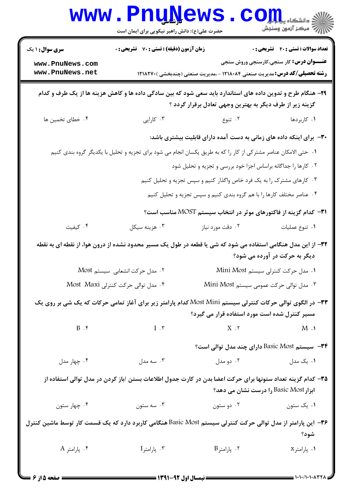|                                                                                                                                                     | www.PnuNews<br>حضرت علی(ع): دانش راهبر نیکویی برای ایمان است                                                    |                                                                                   | الله دانشگاه پیام اور<br>۱۳۱۴ - مکن آزمون وسنجش |  |  |
|-----------------------------------------------------------------------------------------------------------------------------------------------------|-----------------------------------------------------------------------------------------------------------------|-----------------------------------------------------------------------------------|-------------------------------------------------|--|--|
| <b>سری سوال : ۱ یک</b>                                                                                                                              | <b>زمان آزمون (دقیقه) : تستی : 70 قشریحی : 0</b>                                                                |                                                                                   | <b>تعداد سوالات : تستی : 40 قشریحی : 0</b>      |  |  |
| www.PnuNews.com                                                                                                                                     |                                                                                                                 |                                                                                   | <b>عنـــوان درس:</b> کار سنجی،کارسنجی وروش سنجی |  |  |
| www.PnuNews.net                                                                                                                                     |                                                                                                                 | <b>رشته تحصیلی/کد درس:</b> مدیریت صنعتی ۱۲۱۸۰۸۴ - ،مدیریت صنعتی (چندبخشی )۱۲۱۸۲۷۰ |                                                 |  |  |
|                                                                                                                                                     | ۲۹- هنگام طرح و تدوین داده های استاندارد باید سعی شود که بین سادگی داده ها و کاهش هزینه ها از یک طرف و کدام     | گزینه زیر از طرف دیگر به بهترین وجهی تعادل برقرار گردد ؟                          |                                                 |  |  |
| ۰۴ خطای تخمین ها                                                                                                                                    | ۰۳ کارایی                                                                                                       | ۰۲ تنوع                                                                           | ۰۱ کاربردها                                     |  |  |
|                                                                                                                                                     |                                                                                                                 | ۳۰− برای اینکه داده های زمانی به دست آمده دارای قابلیت بیشتری باشد:               |                                                 |  |  |
|                                                                                                                                                     | ۰۱ حتی الامکان عناصر مشترکی از کار را که به طریق یکسان انجام می شود برای تجزیه و تحلیل با یکدیگر گروه بندی کنیم |                                                                                   |                                                 |  |  |
|                                                                                                                                                     |                                                                                                                 | ۰۲ کارها را جداگانه براساس اجزا خود بررسی و تجزیه و تحلیل شود                     |                                                 |  |  |
|                                                                                                                                                     |                                                                                                                 | ۰۳ کارهای مشترک را به یک فرد خاص واگذار کنیم و سپس تجزیه و تحلیل کنیم             |                                                 |  |  |
|                                                                                                                                                     |                                                                                                                 | ۰۴ عناصر مختلف کارها را با هم گروه بندی کنیم و سپس تجزیه و تحلیل کنیم             |                                                 |  |  |
|                                                                                                                                                     |                                                                                                                 | <b>۳۱</b> - کدام گزینه از فاکتورهای موثر در انتخاب سیستم MOST مناسب است؟          |                                                 |  |  |
| ۰۴ کیفیت                                                                                                                                            | ۰۳ هزينه سيكل                                                                                                   | ۰۲ دقت مورد نیاز                                                                  | ٠١ تنوع عمليات                                  |  |  |
|                                                                                                                                                     | ۳۲– از این مدل هنگامی استفاده می شود که شی یا قطعه در طول یک مسیر محدود نشده از درون هوا، از نقطه ای به نقطه    |                                                                                   | دیگر به حرکت در آورده می شود؟                   |  |  |
|                                                                                                                                                     | ۰۲ مدل حرکت انشعابی سیستم Most                                                                                  |                                                                                   | ۰۱ مدل حرکت کنترلی سیستم Mini Most              |  |  |
|                                                                                                                                                     | ۰۴ مدل توالی حرکت کنترلی Most Maxi                                                                              | ۰۳ مدل توالی حرکت عمومی سیستم Mini Most                                           |                                                 |  |  |
|                                                                                                                                                     | ۳۳- در الگوی توالی حرکات کنترلی سیستم Most Mini کدام پارامتر زیر برای آغاز تمامی حرکات که یک شی بر روی یک       | مسیر کنترل شده است مورد استفاده قرار می گیرد؟                                     |                                                 |  |  |
| $B$ . $\mathfrak k$                                                                                                                                 | $I \cdot \mathbf{v}$                                                                                            | $X \cdot Y$                                                                       | $M \cdot Y$                                     |  |  |
|                                                                                                                                                     |                                                                                                                 | <b>۳۴</b> - سیستم Basic Most دارای چند مدل توالی است؟                             |                                                 |  |  |
| ۰۴ چهار مدل                                                                                                                                         | ۰۳ سه مدل                                                                                                       | ۰۲ دو مدل                                                                         | ۰۱ یک مدل                                       |  |  |
| ۳۵– کدام گزینه تعداد ستونها برای حرکت اعضا بدن در کارت جدول اطلاعات بستن /باز کردن در مدل توالی استفاده از<br>ابزار Basic Most را درست نشان می دهد؟ |                                                                                                                 |                                                                                   |                                                 |  |  |
| ۰۴ چهار ستون                                                                                                                                        | ۰۳ سه ستون                                                                                                      | ۰۲ دو ستون                                                                        | ۰۱ یک ستون                                      |  |  |
| ۳۶− این پارامتر از مدل توالی حرکت کنترلی سیستم Basic Most هنگامی کاربرد دارد که یک قسمت کار توسط ماشین کنترل                                        |                                                                                                                 |                                                                                   | شود؟                                            |  |  |
| ۰۴ پارامتر A                                                                                                                                        | $\mathrm{I}$ بارامتر $\cdot$ ۳                                                                                  | $B$ ۰۲ پارامتر $\cdot$                                                            | ٠١. پارامتر×                                    |  |  |
| $\blacktriangleright$ :18 A $\blacktriangleright$ and $\blacktriangleright$                                                                         |                                                                                                                 |                                                                                   |                                                 |  |  |